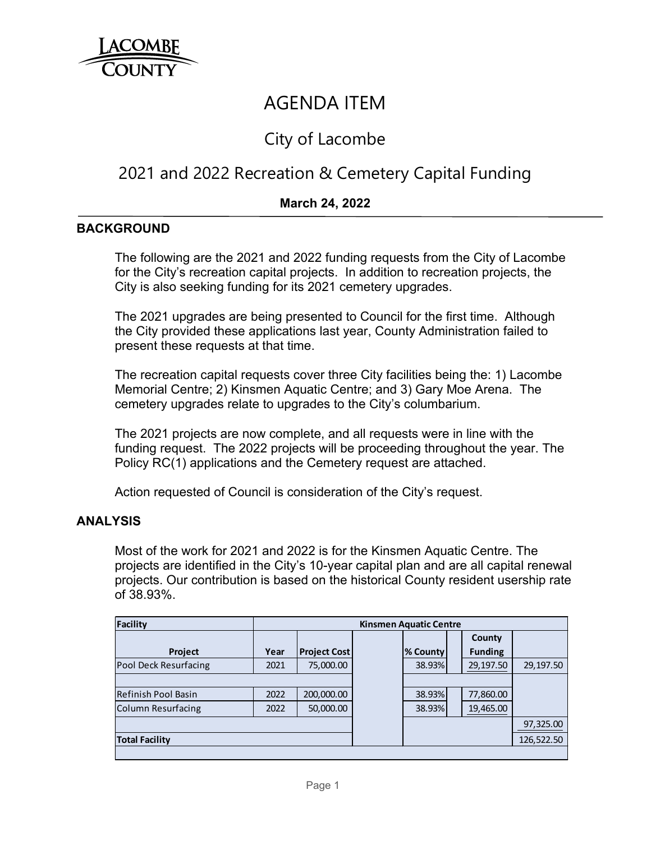

# AGENDA ITEM

# City of Lacombe

# 2021 and 2022 Recreation & Cemetery Capital Funding

## **March 24, 2022**

#### **BACKGROUND**

The following are the 2021 and 2022 funding requests from the City of Lacombe for the City's recreation capital projects. In addition to recreation projects, the City is also seeking funding for its 2021 cemetery upgrades.

The 2021 upgrades are being presented to Council for the first time. Although the City provided these applications last year, County Administration failed to present these requests at that time.

The recreation capital requests cover three City facilities being the: 1) Lacombe Memorial Centre; 2) Kinsmen Aquatic Centre; and 3) Gary Moe Arena. The cemetery upgrades relate to upgrades to the City's columbarium.

The 2021 projects are now complete, and all requests were in line with the funding request. The 2022 projects will be proceeding throughout the year. The Policy RC(1) applications and the Cemetery request are attached.

Action requested of Council is consideration of the City's request.

### **ANALYSIS**

Most of the work for 2021 and 2022 is for the Kinsmen Aquatic Centre. The projects are identified in the City's 10-year capital plan and are all capital renewal projects. Our contribution is based on the historical County resident usership rate of 38.93%.

| Facility                  | <b>Kinsmen Aquatic Centre</b> |                     |  |                 |  |                                 |            |
|---------------------------|-------------------------------|---------------------|--|-----------------|--|---------------------------------|------------|
| <b>Project</b>            | Year                          | <b>Project Cost</b> |  | <b>% County</b> |  | <b>County</b><br><b>Funding</b> |            |
| Pool Deck Resurfacing     | 2021                          | 75,000.00           |  | 38.93%          |  | 29,197.50                       | 29,197.50  |
|                           |                               |                     |  |                 |  |                                 |            |
| Refinish Pool Basin       | 2022                          | 200,000.00          |  | 38.93%          |  | 77,860.00                       |            |
| <b>Column Resurfacing</b> | 2022                          | 50,000.00           |  | 38.93%          |  | 19,465.00                       |            |
|                           |                               |                     |  |                 |  |                                 | 97,325.00  |
| <b>Total Facility</b>     |                               |                     |  |                 |  |                                 | 126,522.50 |
|                           |                               |                     |  |                 |  |                                 |            |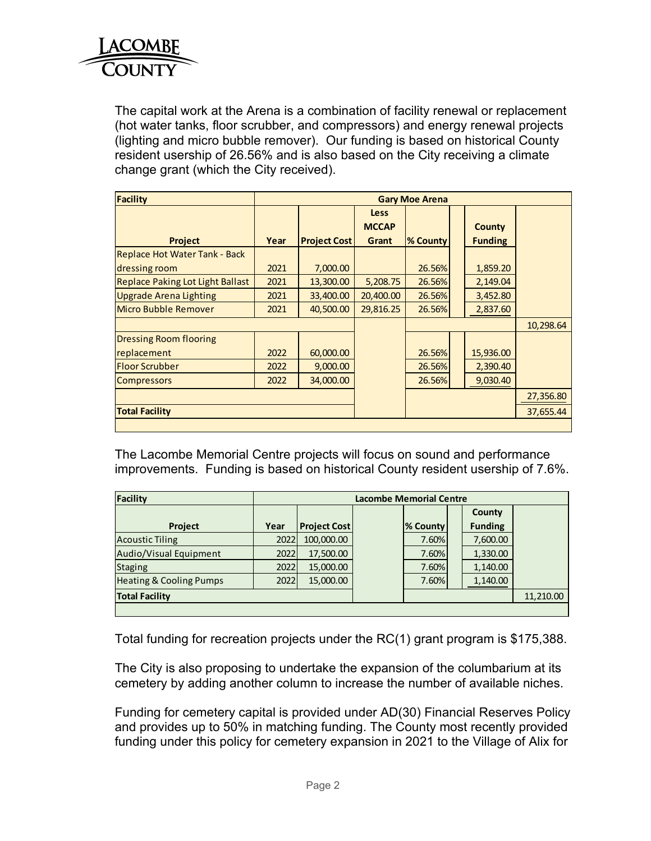

The capital work at the Arena is a combination of facility renewal or replacement (hot water tanks, floor scrubber, and compressors) and energy renewal projects (lighting and micro bubble remover). Our funding is based on historical County resident usership of 26.56% and is also based on the City receiving a climate change grant (which the City received).

| <b>Facility</b>                         | <b>Gary Moe Arena</b> |                     |                             |          |  |                |           |
|-----------------------------------------|-----------------------|---------------------|-----------------------------|----------|--|----------------|-----------|
|                                         |                       |                     | <b>Less</b><br><b>MCCAP</b> |          |  | <b>County</b>  |           |
| <b>Project</b>                          | Year                  | <b>Project Cost</b> | Grant                       | % County |  | <b>Funding</b> |           |
| Replace Hot Water Tank - Back           |                       |                     |                             |          |  |                |           |
| dressing room                           | 2021                  | 7,000.00            |                             | 26.56%   |  | 1,859.20       |           |
| <b>Replace Paking Lot Light Ballast</b> | 2021                  | 13,300.00           | 5,208.75                    | 26.56%   |  | 2,149.04       |           |
| <b>Upgrade Arena Lighting</b>           | 2021                  | 33,400.00           | 20,400.00                   | 26.56%   |  | 3,452.80       |           |
| Micro Bubble Remover                    | 2021                  | 40,500.00           | 29,816.25                   | 26.56%   |  | 2,837.60       |           |
|                                         |                       |                     |                             |          |  |                | 10,298.64 |
| <b>Dressing Room flooring</b>           |                       |                     |                             |          |  |                |           |
| replacement                             | 2022                  | 60,000.00           |                             | 26.56%   |  | 15,936.00      |           |
| <b>Floor Scrubber</b>                   | 2022                  | 9,000.00            |                             | 26.56%   |  | 2,390.40       |           |
| <b>Compressors</b>                      | 2022                  | 34,000.00           |                             | 26.56%   |  | 9,030.40       |           |
|                                         |                       |                     |                             |          |  |                | 27,356.80 |
| <b>Total Facility</b>                   |                       |                     |                             |          |  |                | 37,655.44 |

The Lacombe Memorial Centre projects will focus on sound and performance improvements. Funding is based on historical County resident usership of 7.6%.

| Facility                           | <b>Lacombe Memorial Centre</b> |                     |  |          |  |                |           |
|------------------------------------|--------------------------------|---------------------|--|----------|--|----------------|-----------|
|                                    |                                |                     |  |          |  | County         |           |
| <b>Project</b>                     | Year                           | <b>Project Cost</b> |  | % County |  | <b>Funding</b> |           |
| <b>Acoustic Tiling</b>             | 2022                           | 100,000.00          |  | 7.60%    |  | 7,600.00       |           |
| Audio/Visual Equipment             | 2022                           | 17,500.00           |  | 7.60%    |  | 1,330.00       |           |
| <b>Staging</b>                     | 2022                           | 15,000.00           |  | 7.60%    |  | 1,140.00       |           |
| <b>Heating &amp; Cooling Pumps</b> | 2022                           | 15,000.00           |  | 7.60%    |  | 1,140.00       |           |
| <b>Total Facility</b>              |                                |                     |  |          |  |                | 11,210.00 |
|                                    |                                |                     |  |          |  |                |           |

Total funding for recreation projects under the RC(1) grant program is \$175,388.

The City is also proposing to undertake the expansion of the columbarium at its cemetery by adding another column to increase the number of available niches.

Funding for cemetery capital is provided under AD(30) Financial Reserves Policy and provides up to 50% in matching funding. The County most recently provided funding under this policy for cemetery expansion in 2021 to the Village of Alix for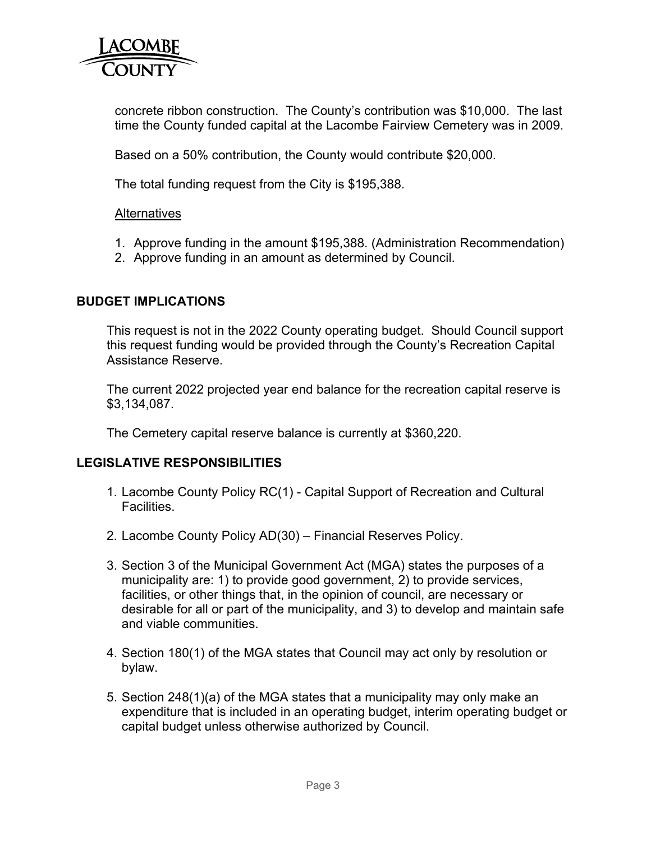

concrete ribbon construction. The County's contribution was \$10,000. The last time the County funded capital at the Lacombe Fairview Cemetery was in 2009.

Based on a 50% contribution, the County would contribute \$20,000.

The total funding request from the City is \$195,388.

#### **Alternatives**

- 1. Approve funding in the amount \$195,388. (Administration Recommendation)
- 2. Approve funding in an amount as determined by Council.

### **BUDGET IMPLICATIONS**

This request is not in the 2022 County operating budget. Should Council support this request funding would be provided through the County's Recreation Capital Assistance Reserve.

The current 2022 projected year end balance for the recreation capital reserve is \$3,134,087.

The Cemetery capital reserve balance is currently at \$360,220.

### **LEGISLATIVE RESPONSIBILITIES**

- 1. Lacombe County Policy RC(1) Capital Support of Recreation and Cultural Facilities.
- 2. Lacombe County Policy AD(30) Financial Reserves Policy.
- 3. Section 3 of the Municipal Government Act (MGA) states the purposes of a municipality are: 1) to provide good government, 2) to provide services, facilities, or other things that, in the opinion of council, are necessary or desirable for all or part of the municipality, and 3) to develop and maintain safe and viable communities.
- 4. Section 180(1) of the MGA states that Council may act only by resolution or bylaw.
- 5. Section 248(1)(a) of the MGA states that a municipality may only make an expenditure that is included in an operating budget, interim operating budget or capital budget unless otherwise authorized by Council.